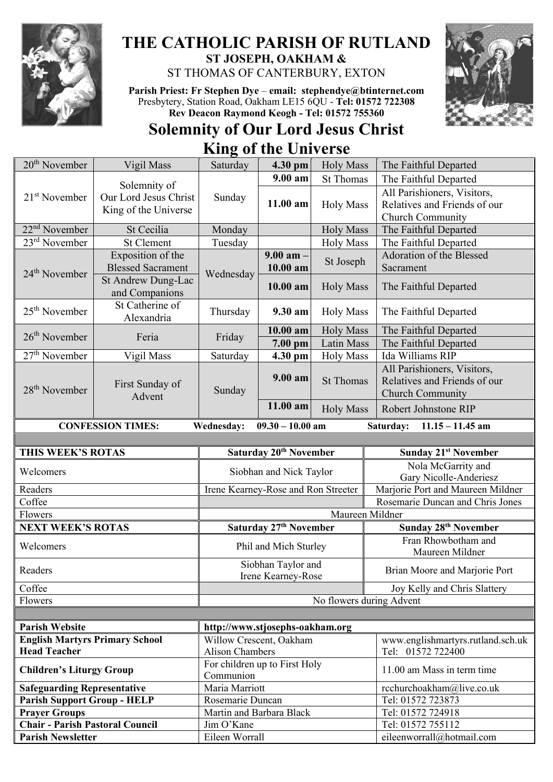

## **THE CATHOLIC PARISH OF RUTLAND ST JOSEPH, OAKHAM &**

ST THOMAS OF CANTERBURY, EXTON

**Parish Priest: Fr Stephen Dye** – **[email: stephendye@btinternet.com](mailto:email:%20%20stephendye@btinternet.com)** Presbytery, Station Road, Oakham LE15 6QU - **Tel: 01572 722308 Rev Deacon Raymond Keogh - Tel: 01572 755360**

## **Solemnity of Our Lord Jesus Christ King of the Universe**



| 20 <sup>th</sup> November                                                                       | Vigil Mass                            | Saturday                            | 4.30 pm                 | <b>Holy Mass</b> | The Faithful Departed                  |                 |
|-------------------------------------------------------------------------------------------------|---------------------------------------|-------------------------------------|-------------------------|------------------|----------------------------------------|-----------------|
| $21st$ November                                                                                 | Solemnity of<br>Our Lord Jesus Christ | Sunday                              | $9.00 a$ m              | <b>St Thomas</b> | The Faithful Departed                  |                 |
|                                                                                                 |                                       |                                     | $11.00$ am              | <b>Holy Mass</b> | All Parishioners, Visitors,            |                 |
|                                                                                                 | King of the Universe                  |                                     |                         |                  | Relatives and Friends of our           |                 |
|                                                                                                 |                                       |                                     |                         |                  | Church Community                       |                 |
| $22nd$ November                                                                                 | St Cecilia                            | Monday                              |                         | <b>Holy Mass</b> | The Faithful Departed                  |                 |
| $23rd$ November                                                                                 | <b>St Clement</b>                     | Tuesday                             |                         | <b>Holy Mass</b> | The Faithful Departed                  |                 |
| 24 <sup>th</sup> November                                                                       | Exposition of the                     | Wednesday                           | $9.00$ am -<br>10.00 am | St Joseph        | Adoration of the Blessed               |                 |
|                                                                                                 | <b>Blessed Sacrament</b>              |                                     |                         |                  | Sacrament                              |                 |
|                                                                                                 | St Andrew Dung-Lac                    |                                     | $10.00$ am              | <b>Holy Mass</b> | The Faithful Departed                  |                 |
|                                                                                                 | and Companions                        |                                     |                         |                  |                                        |                 |
| $25th$ November                                                                                 | St Catherine of<br>Alexandria         | Thursday                            | 9.30 am                 | <b>Holy Mass</b> | The Faithful Departed                  |                 |
|                                                                                                 |                                       |                                     |                         |                  |                                        | $26th$ November |
|                                                                                                 | $7.00$ pm                             | <b>Latin Mass</b>                   | The Faithful Departed   |                  |                                        |                 |
| $27th$ November                                                                                 | Vigil Mass                            | Saturday                            | 4.30 pm                 | <b>Holy Mass</b> | Ida Williams RIP                       |                 |
|                                                                                                 | First Sunday of<br>Advent             | Sunday                              | 9.00 am                 | <b>St Thomas</b> | All Parishioners, Visitors,            |                 |
| 28 <sup>th</sup> November                                                                       |                                       |                                     |                         |                  | Relatives and Friends of our           |                 |
|                                                                                                 |                                       |                                     |                         |                  | Church Community                       |                 |
|                                                                                                 |                                       |                                     | 11.00 am                | <b>Holy Mass</b> | Robert Johnstone RIP                   |                 |
| <b>CONFESSION TIMES:</b><br>Wednesday:<br>$09.30 - 10.00$ am<br>Saturday:<br>$11.15 - 11.45$ am |                                       |                                     |                         |                  |                                        |                 |
|                                                                                                 |                                       |                                     |                         |                  |                                        |                 |
| THIS WEEK'S ROTAS                                                                               |                                       | Saturday 20 <sup>th</sup> November  |                         |                  | <b>Sunday 21st November</b>            |                 |
| Welcomers                                                                                       |                                       | Siobhan and Nick Taylor             |                         |                  | Nola McGarrity and                     |                 |
|                                                                                                 |                                       |                                     |                         |                  | Gary Nicolle-Anderiesz                 |                 |
| Readers                                                                                         |                                       | Irene Kearney-Rose and Ron Streeter |                         |                  | Marjorie Port and Maureen Mildner      |                 |
| Coffee                                                                                          |                                       |                                     |                         |                  | Rosemarie Duncan and Chris Jones       |                 |
| Flowers                                                                                         |                                       | Maureen Mildner                     |                         |                  |                                        |                 |
| <b>NEXT WEEK'S ROTAS</b>                                                                        |                                       | Saturday 27 <sup>th</sup> November  |                         |                  | Sunday 28th November                   |                 |
| Welcomers                                                                                       |                                       | Phil and Mich Sturley               |                         |                  | Fran Rhowbotham and<br>Maureen Mildner |                 |
|                                                                                                 |                                       | Siobhan Taylor and                  |                         |                  |                                        |                 |
| Readers                                                                                         |                                       | Irene Kearney-Rose                  |                         |                  | Brian Moore and Marjorie Port          |                 |
| Coffee                                                                                          |                                       |                                     |                         |                  | Joy Kelly and Chris Slattery           |                 |
| Flowers                                                                                         |                                       | No flowers during Advent            |                         |                  |                                        |                 |
|                                                                                                 |                                       |                                     |                         |                  |                                        |                 |
| Parish Website<br>http://www.stigsephs.oakham.org                                               |                                       |                                     |                         |                  |                                        |                 |

| <b>Parish Website</b>                  | http://www.stjosephs-oakham.org            |                                   |  |  |
|----------------------------------------|--------------------------------------------|-----------------------------------|--|--|
| <b>English Martyrs Primary School</b>  | Willow Crescent, Oakham                    | www.englishmartyrs.rutland.sch.uk |  |  |
| <b>Head Teacher</b>                    | Alison Chambers                            | Tel: 01572 722400                 |  |  |
| <b>Children's Liturgy Group</b>        | For children up to First Holy<br>Communion | 11.00 am Mass in term time        |  |  |
| <b>Safeguarding Representative</b>     | Maria Marriott                             | rcchurchoakham@live.co.uk         |  |  |
| <b>Parish Support Group - HELP</b>     | Rosemarie Duncan                           | Tel: 01572 723873                 |  |  |
| <b>Prayer Groups</b>                   | Martin and Barbara Black                   | Tel: 01572 724918                 |  |  |
| <b>Chair - Parish Pastoral Council</b> | Jim O'Kane                                 | Tel: 01572 755112                 |  |  |
| <b>Parish Newsletter</b>               | Eileen Worrall                             | eileenworrall@hotmail.com         |  |  |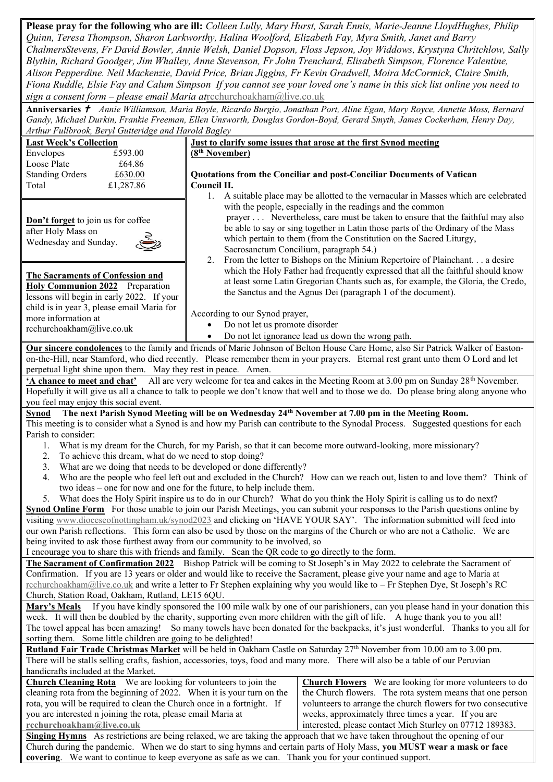**Please pray for the following who are ill:** *Colleen Lully, Mary Hurst, Sarah Ennis, Marie-Jeanne LloydHughes, Philip Quinn, Teresa Thompson, Sharon Larkworthy, Halina Woolford, Elizabeth Fay, Myra Smith, Janet and Barry ChalmersStevens, Fr David Bowler, Annie Welsh, Daniel Dopson, Floss Jepson, Joy Widdows, Krystyna Chritchlow, Sally Blythin, Richard Goodger, Jim Whalley, Anne Stevenson, Fr John Trenchard, Elisabeth Simpson, Florence Valentine, Alison Pepperdine. Neil Mackenzie, David Price, Brian Jiggins, Fr Kevin Gradwell, Moira McCormick, Claire Smith, Fiona Ruddle, Elsie Fay and Calum Simpson If you cannot see your loved one's name in this sick list online you need to sign a consent form – please email Maria at*[rcchurchoakham@live.co.uk](mailto:rcchurchoakham@live.co.uk)

**Anniversaries**  *Annie Williamson, Maria Boyle, Ricardo Burgio, Jonathan Port, Aline Egan, Mary Royce, Annette Moss, Bernard Gandy, Michael Durkin, Frankie Freeman, Ellen Unsworth, Douglas Gordon-Boyd, Gerard Smyth, James Cockerham, Henry Day, Arthur Fullbrook, Beryl Gutteridge and Harold Bagley*

| Arthur Fullbrook, Beryl Gutteridge and Harold Bagley                                                                                                                           |                                                                   |                                                                                                                                                 |  |  |  |  |  |
|--------------------------------------------------------------------------------------------------------------------------------------------------------------------------------|-------------------------------------------------------------------|-------------------------------------------------------------------------------------------------------------------------------------------------|--|--|--|--|--|
| <b>Last Week's Collection</b>                                                                                                                                                  | Just to clarify some issues that arose at the first Synod meeting |                                                                                                                                                 |  |  |  |  |  |
| Envelopes<br>£593.00                                                                                                                                                           | (8 <sup>th</sup> November)                                        |                                                                                                                                                 |  |  |  |  |  |
| Loose Plate<br>£64.86                                                                                                                                                          |                                                                   |                                                                                                                                                 |  |  |  |  |  |
| <b>Standing Orders</b><br>£630.00                                                                                                                                              |                                                                   | Quotations from the Conciliar and post-Conciliar Documents of Vatican                                                                           |  |  |  |  |  |
| Total<br>£1,287.86                                                                                                                                                             | Council II.                                                       |                                                                                                                                                 |  |  |  |  |  |
|                                                                                                                                                                                | 1.                                                                | A suitable place may be allotted to the vernacular in Masses which are celebrated<br>with the people, especially in the readings and the common |  |  |  |  |  |
| Don't forget to join us for coffee                                                                                                                                             |                                                                   | prayer Nevertheless, care must be taken to ensure that the faithful may also                                                                    |  |  |  |  |  |
| after Holy Mass on                                                                                                                                                             |                                                                   | be able to say or sing together in Latin those parts of the Ordinary of the Mass                                                                |  |  |  |  |  |
| Wednesday and Sunday.                                                                                                                                                          |                                                                   | which pertain to them (from the Constitution on the Sacred Liturgy,                                                                             |  |  |  |  |  |
|                                                                                                                                                                                |                                                                   | Sacrosanctum Concilium, paragraph 54.)                                                                                                          |  |  |  |  |  |
|                                                                                                                                                                                | 2.                                                                | From the letter to Bishops on the Minium Repertoire of Plainchant a desire                                                                      |  |  |  |  |  |
| <b>The Sacraments of Confession and</b>                                                                                                                                        |                                                                   | which the Holy Father had frequently expressed that all the faithful should know                                                                |  |  |  |  |  |
| Holy Communion 2022 Preparation                                                                                                                                                |                                                                   | at least some Latin Gregorian Chants such as, for example, the Gloria, the Credo,                                                               |  |  |  |  |  |
| lessons will begin in early 2022. If your                                                                                                                                      |                                                                   | the Sanctus and the Agnus Dei (paragraph 1 of the document).                                                                                    |  |  |  |  |  |
| child is in year 3, please email Maria for<br>more information at                                                                                                              | According to our Synod prayer,                                    |                                                                                                                                                 |  |  |  |  |  |
| rcchurchoakham@live.co.uk                                                                                                                                                      | Do not let us promote disorder                                    |                                                                                                                                                 |  |  |  |  |  |
|                                                                                                                                                                                | $\bullet$                                                         | Do not let ignorance lead us down the wrong path.                                                                                               |  |  |  |  |  |
|                                                                                                                                                                                |                                                                   | Our sincere condolences to the family and friends of Marie Johnson of Belton House Care Home, also Sir Patrick Walker of Easton-                |  |  |  |  |  |
|                                                                                                                                                                                |                                                                   | on-the-Hill, near Stamford, who died recently. Please remember them in your prayers. Eternal rest grant unto them O Lord and let                |  |  |  |  |  |
| perpetual light shine upon them. May they rest in peace. Amen.                                                                                                                 |                                                                   |                                                                                                                                                 |  |  |  |  |  |
| 'A chance to meet and chat' All are very welcome for tea and cakes in the Meeting Room at 3.00 pm on Sunday 28 <sup>th</sup> November.                                         |                                                                   |                                                                                                                                                 |  |  |  |  |  |
|                                                                                                                                                                                |                                                                   | Hopefully it will give us all a chance to talk to people we don't know that well and to those we do. Do please bring along anyone who           |  |  |  |  |  |
| you feel may enjoy this social event.<br>The next Parish Synod Meeting will be on Wednesday 24 <sup>th</sup> November at 7.00 pm in the Meeting Room.                          |                                                                   |                                                                                                                                                 |  |  |  |  |  |
| <b>Synod</b>                                                                                                                                                                   |                                                                   |                                                                                                                                                 |  |  |  |  |  |
| Parish to consider:                                                                                                                                                            |                                                                   | This meeting is to consider what a Synod is and how my Parish can contribute to the Synodal Process. Suggested questions for each               |  |  |  |  |  |
| 1.                                                                                                                                                                             |                                                                   | What is my dream for the Church, for my Parish, so that it can become more outward-looking, more missionary?                                    |  |  |  |  |  |
| To achieve this dream, what do we need to stop doing?<br>2.                                                                                                                    |                                                                   |                                                                                                                                                 |  |  |  |  |  |
| 3.<br>What are we doing that needs to be developed or done differently?                                                                                                        |                                                                   |                                                                                                                                                 |  |  |  |  |  |
| 4.                                                                                                                                                                             |                                                                   | Who are the people who feel left out and excluded in the Church? How can we reach out, listen to and love them? Think of                        |  |  |  |  |  |
| two ideas – one for now and one for the future, to help include them.                                                                                                          |                                                                   |                                                                                                                                                 |  |  |  |  |  |
| 5.                                                                                                                                                                             |                                                                   | What does the Holy Spirit inspire us to do in our Church? What do you think the Holy Spirit is calling us to do next?                           |  |  |  |  |  |
|                                                                                                                                                                                |                                                                   | <b>Synod Online Form</b> For those unable to join our Parish Meetings, you can submit your responses to the Parish questions online by          |  |  |  |  |  |
|                                                                                                                                                                                |                                                                   | visiting www.dioceseofnottingham.uk/synod2023 and clicking on 'HAVE YOUR SAY'. The information submitted will feed into                         |  |  |  |  |  |
| being invited to ask those furthest away from our community to be involved, so                                                                                                 |                                                                   | our own Parish reflections. This form can also be used by those on the margins of the Church or who are not a Catholic. We are                  |  |  |  |  |  |
| I encourage you to share this with friends and family. Scan the QR code to go directly to the form.                                                                            |                                                                   |                                                                                                                                                 |  |  |  |  |  |
|                                                                                                                                                                                |                                                                   | The Sacrament of Confirmation 2022 Bishop Patrick will be coming to St Joseph's in May 2022 to celebrate the Sacrament of                       |  |  |  |  |  |
|                                                                                                                                                                                |                                                                   | Confirmation. If you are 13 years or older and would like to receive the Sacrament, please give your name and age to Maria at                   |  |  |  |  |  |
| rechurchoakham@live.co.uk and write a letter to Fr Stephen explaining why you would like to - Fr Stephen Dye, St Joseph's RC                                                   |                                                                   |                                                                                                                                                 |  |  |  |  |  |
| Church, Station Road, Oakham, Rutland, LE15 6QU.                                                                                                                               |                                                                   |                                                                                                                                                 |  |  |  |  |  |
| Mary's Meals If you have kindly sponsored the 100 mile walk by one of our parishioners, can you please hand in your donation this                                              |                                                                   |                                                                                                                                                 |  |  |  |  |  |
| week. It will then be doubled by the charity, supporting even more children with the gift of life. A huge thank you to you all!                                                |                                                                   |                                                                                                                                                 |  |  |  |  |  |
| The towel appeal has been amazing! So many towels have been donated for the backpacks, it's just wonderful. Thanks to you all for                                              |                                                                   |                                                                                                                                                 |  |  |  |  |  |
| sorting them. Some little children are going to be delighted!                                                                                                                  |                                                                   |                                                                                                                                                 |  |  |  |  |  |
| Rutland Fair Trade Christmas Market will be held in Oakham Castle on Saturday 27 <sup>th</sup> November from 10.00 am to 3.00 pm.                                              |                                                                   |                                                                                                                                                 |  |  |  |  |  |
| There will be stalls selling crafts, fashion, accessories, toys, food and many more. There will also be a table of our Peruvian                                                |                                                                   |                                                                                                                                                 |  |  |  |  |  |
| handicrafts included at the Market.<br><b>Church Cleaning Rota</b> We are looking for volunteers to join the<br><b>Church Flowers</b> We are looking for more volunteers to do |                                                                   |                                                                                                                                                 |  |  |  |  |  |
| cleaning rota from the beginning of 2022. When it is your turn on the                                                                                                          |                                                                   | the Church flowers. The rota system means that one person                                                                                       |  |  |  |  |  |
| rota, you will be required to clean the Church once in a fortnight. If                                                                                                         |                                                                   | volunteers to arrange the church flowers for two consecutive                                                                                    |  |  |  |  |  |
| you are interested n joining the rota, please email Maria at                                                                                                                   |                                                                   | weeks, approximately three times a year. If you are                                                                                             |  |  |  |  |  |
| rcchurchoakham@live.co.uk                                                                                                                                                      |                                                                   | interested, please contact Mich Sturley on 07712 189383.                                                                                        |  |  |  |  |  |
| Singing Hymns As restrictions are being relaxed, we are taking the approach that we have taken throughout the opening of our                                                   |                                                                   |                                                                                                                                                 |  |  |  |  |  |

**Singing Hymns** As restrictions are being relaxed, we are taking the approach that we have taken throughout the opening of our Church during the pandemic. When we do start to sing hymns and certain parts of Holy Mass, **you MUST wear a mask or face covering**. We want to continue to keep everyone as safe as we can. Thank you for your continued support.